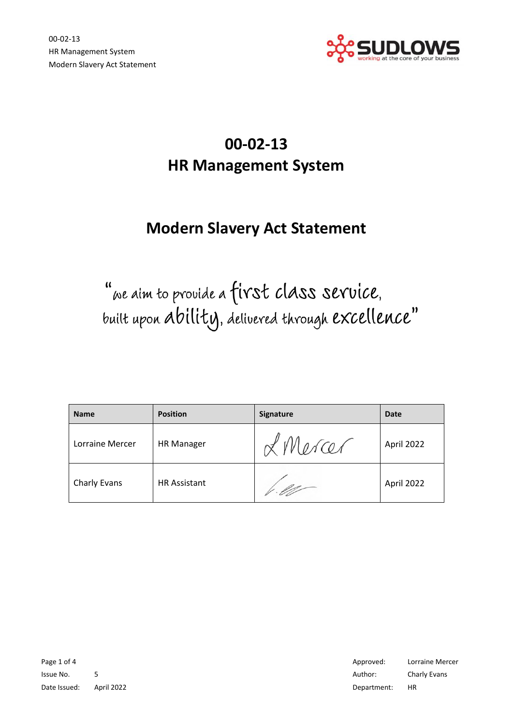

# **00-02-13 HR Management System**

# **Modern Slavery Act Statement**

"we aim to provide a first class service. built upon ability, delivered through excellence"

| <b>Name</b>     | <b>Position</b>     | <b>Signature</b> | <b>Date</b> |
|-----------------|---------------------|------------------|-------------|
| Lorraine Mercer | <b>HR Manager</b>   | L Mercer         | April 2022  |
| Charly Evans    | <b>HR Assistant</b> |                  | April 2022  |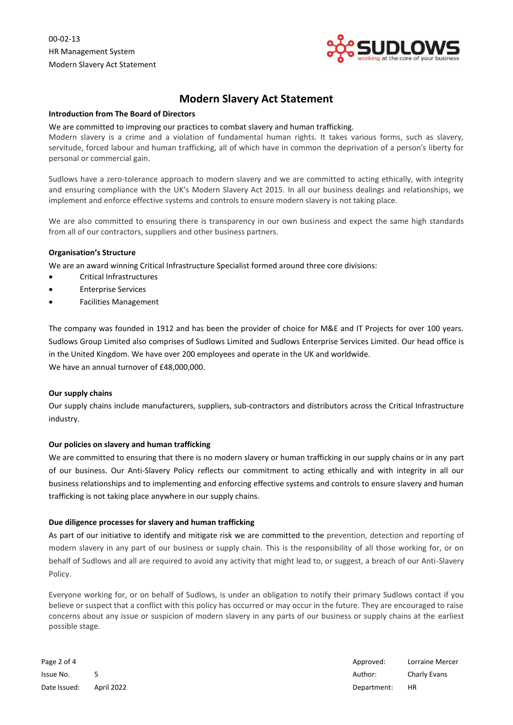00-02-13 HR Management System Modern Slavery Act Statement



# **Modern Slavery Act Statement**

#### **Introduction from The Board of Directors**

#### We are committed to improving our practices to combat slavery and human trafficking.

Modern slavery is a crime and a violation of fundamental human rights. It takes various forms, such as slavery, servitude, forced labour and human trafficking, all of which have in common the deprivation of a person's liberty for personal or commercial gain.

Sudlows have a zero-tolerance approach to modern slavery and we are committed to acting ethically, with integrity and ensuring compliance with the UK's Modern Slavery Act 2015. In all our business dealings and relationships, we implement and enforce effective systems and controls to ensure modern slavery is not taking place.

We are also committed to ensuring there is transparency in our own business and expect the same high standards from all of our contractors, suppliers and other business partners.

#### **Organisation's Structure**

We are an award winning Critical Infrastructure Specialist formed around three core divisions:

- Critical Infrastructures
- Enterprise Services
- Facilities Management

The company was founded in 1912 and has been the provider of choice for M&E and IT Projects for over 100 years. Sudlows Group Limited also comprises of Sudlows Limited and Sudlows Enterprise Services Limited. Our head office is in the United Kingdom. We have over 200 employees and operate in the UK and worldwide. We have an annual turnover of £48,000,000.

#### **Our supply chains**

Our supply chains include manufacturers, suppliers, sub-contractors and distributors across the Critical Infrastructure industry.

# **Our policies on slavery and human trafficking**

We are committed to ensuring that there is no modern slavery or human trafficking in our supply chains or in any part of our business. Our Anti-Slavery Policy reflects our commitment to acting ethically and with integrity in all our business relationships and to implementing and enforcing effective systems and controls to ensure slavery and human trafficking is not taking place anywhere in our supply chains.

# **Due diligence processes for slavery and human trafficking**

As part of our initiative to identify and mitigate risk we are committed to the prevention, detection and reporting of modern slavery in any part of our business or supply chain. This is the responsibility of all those working for, or on behalf of Sudlows and all are required to avoid any activity that might lead to, or suggest, a breach of our Anti-Slavery Policy.

Everyone working for, or on behalf of Sudlows, is under an obligation to notify their primary Sudlows contact if you believe or suspect that a conflict with this policy has occurred or may occur in the future. They are encouraged to raise concerns about any issue or suspicion of modern slavery in any parts of our business or supply chains at the earliest possible stage.

Date Issued: April 2022 Department: HR

Page 2 of 4 Approved: Lorraine Mercer and Approved: Lorraine Mercer and Approved: Lorraine Mercer Issue No. 5 **5** Author: Charly Evans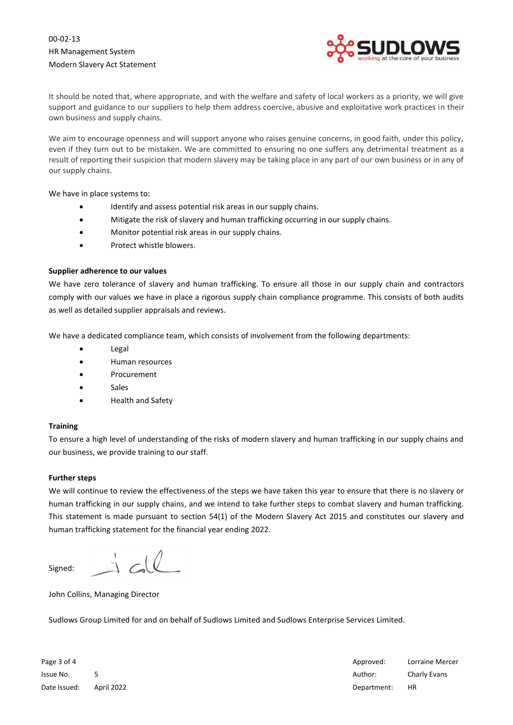

It should be noted that, where appropriate, and with the welfare and safety of local workers as a priority, we will give support and guidance to our suppliers to help them address coercive, abusive and exploitative work practices in their own business and supply chains.

We aim to encourage openness and will support anyone who raises genuine concerns, in good faith, under this policy, even if they turn out to be mistaken. We are committed to ensuring no one suffers any detrimental treatment as a result of reporting their suspicion that modern slavery may be taking place in any part of our own business or in any of our supply chains.

We have in place systems to:

- Identify and assess potential risk areas in our supply chains.
- Mitigate the risk of slavery and human trafficking occurring in our supply chains.
- Monitor potential risk areas in our supply chains.
- Protect whistle blowers.

# **Supplier adherence to our values**

We have zero tolerance of slavery and human trafficking. To ensure all those in our supply chain and contractors comply with our values we have in place a rigorous supply chain compliance programme. This consists of both audits as well as detailed supplier appraisals and reviews.

We have a dedicated compliance team, which consists of involvement from the following departments:

- Legal
- Human resources
- **Procurement**
- Sales
- Health and Safety

# **Training**

To ensure a high level of understanding of the risks of modern slavery and human trafficking in our supply chains and our business, we provide training to our staff.

# **Further steps**

We will continue to review the effectiveness of the steps we have taken this year to ensure that there is no slavery or human trafficking in our supply chains, and we intend to take further steps to combat slavery and human trafficking. This statement is made pursuant to section 54(1) of the Modern Slavery Act 2015 and constitutes our slavery and human trafficking statement for the financial year ending 2022.

Signed:

John Collins, Managing Director

Sudlows Group Limited for and on behalf of Sudlows Limited and Sudlows Enterprise Services Limited.

Page 3 of 4 Approved: Lorraine Mercer and Approved: Lorraine Mercer and Approved: Lorraine Mercer Issue No. 5 **5** Author: Charly Evans